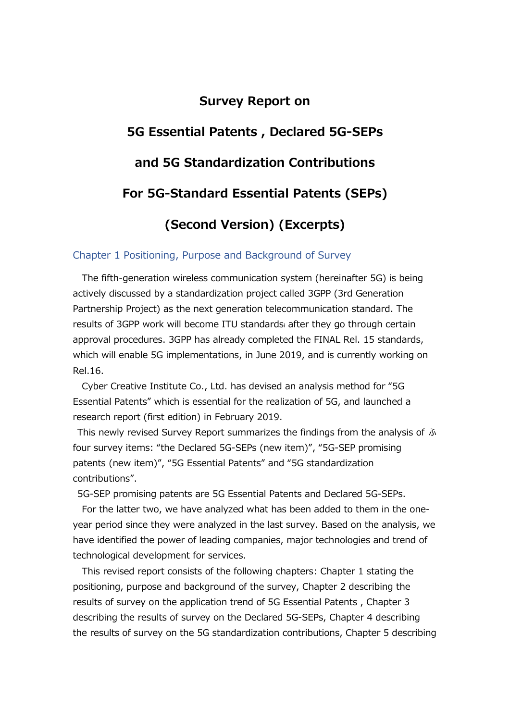### **Survey Report on**

# **5G Essential Patents , Declared 5G-SEPs**

# **and 5G Standardization Contributions**

## **For 5G-Standard Essential Patents (SEPs)**

# **(Second Version) (Excerpts)**

#### Chapter 1 Positioning, Purpose and Background of Survey

The fifth-generation wireless communication system (hereinafter 5G) is being actively discussed by a standardization project called 3GPP (3rd Generation Partnership Project) as the next generation telecommunication standard. The results of 3GPP work will become ITU standardsi after they go through certain approval procedures. 3GPP has already completed the FINAL Rel. 15 standards, which will enable 5G implementations, in June 2019, and is currently working on Rel.16.

Cyber Creative Institute Co., Ltd. has devised an analysis method for "5G Essential Patents" which is essential for the realization of 5G, and launched a research report (first edition) in February 2019.

This newly revised Survey Report summarizes the findings from the analysis of ふ four survey items: "the Declared 5G-SEPs (new item)", "5G-SEP promising patents (new item)", "5G Essential Patents" and "5G standardization contributions".

5G-SEP promising patents are 5G Essential Patents and Declared 5G-SEPs.

For the latter two, we have analyzed what has been added to them in the oneyear period since they were analyzed in the last survey. Based on the analysis, we have identified the power of leading companies, major technologies and trend of technological development for services.

This revised report consists of the following chapters: Chapter 1 stating the positioning, purpose and background of the survey, Chapter 2 describing the results of survey on the application trend of 5G Essential Patents , Chapter 3 describing the results of survey on the Declared 5G-SEPs, Chapter 4 describing the results of survey on the 5G standardization contributions, Chapter 5 describing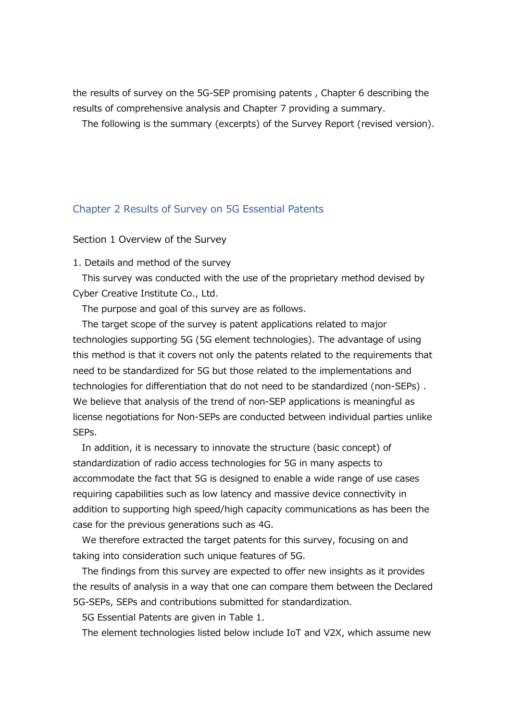the results of survey on the 5G-SEP promising patents , Chapter 6 describing the results of comprehensive analysis and Chapter 7 providing a summary.

The following is the summary (excerpts) of the Survey Report (revised version).

#### Chapter 2 Results of Survey on 5G Essential Patents

Section 1 Overview of the Survey

1. Details and method of the survey

This survey was conducted with the use of the proprietary method devised by Cyber Creative Institute Co., Ltd.

The purpose and goal of this survey are as follows.

The target scope of the survey is patent applications related to major technologies supporting 5G (5G element technologies). The advantage of using this method is that it covers not only the patents related to the requirements that need to be standardized for 5G but those related to the implementations and technologies for differentiation that do not need to be standardized (non-SEPs) . We believe that analysis of the trend of non-SEP applications is meaningful as license negotiations for Non-SEPs are conducted between individual parties unlike SEPs.

In addition, it is necessary to innovate the structure (basic concept) of standardization of radio access technologies for 5G in many aspects to accommodate the fact that 5G is designed to enable a wide range of use cases requiring capabilities such as low latency and massive device connectivity in addition to supporting high speed/high capacity communications as has been the case for the previous generations such as 4G.

We therefore extracted the target patents for this survey, focusing on and taking into consideration such unique features of 5G.

The findings from this survey are expected to offer new insights as it provides the results of analysis in a way that one can compare them between the Declared 5G-SEPs, SEPs and contributions submitted for standardization.

5G Essential Patents are given in Table 1.

The element technologies listed below include IoT and V2X, which assume new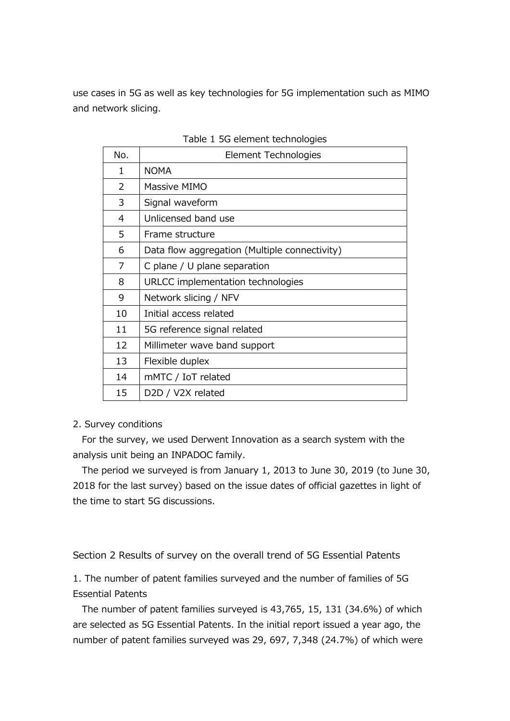use cases in 5G as well as key technologies for 5G implementation such as MIMO and network slicing.

| No. | Element Technologies                          |  |  |  |  |
|-----|-----------------------------------------------|--|--|--|--|
| 1   | <b>NOMA</b>                                   |  |  |  |  |
| 2   | Massive MIMO                                  |  |  |  |  |
| 3   | Signal waveform                               |  |  |  |  |
| 4   | Unlicensed band use                           |  |  |  |  |
| 5   | Frame structure                               |  |  |  |  |
| 6   | Data flow aggregation (Multiple connectivity) |  |  |  |  |
| 7   | C plane / U plane separation                  |  |  |  |  |
| 8   | URLCC implementation technologies             |  |  |  |  |
| 9   | Network slicing / NFV                         |  |  |  |  |
| 10  | Initial access related                        |  |  |  |  |
| 11  | 5G reference signal related                   |  |  |  |  |
| 12  | Millimeter wave band support                  |  |  |  |  |
| 13  | Flexible duplex                               |  |  |  |  |
| 14  | mMTC / IoT related                            |  |  |  |  |
| 15  | D2D / V2X related                             |  |  |  |  |

Table 1 5G element technologies

#### 2. Survey conditions

For the survey, we used Derwent Innovation as a search system with the analysis unit being an INPADOC family.

The period we surveyed is from January 1, 2013 to June 30, 2019 (to June 30, 2018 for the last survey) based on the issue dates of official gazettes in light of the time to start 5G discussions.

Section 2 Results of survey on the overall trend of 5G Essential Patents

1. The number of patent families surveyed and the number of families of 5G Essential Patents

The number of patent families surveyed is 43,765, 15, 131 (34.6%) of which are selected as 5G Essential Patents. In the initial report issued a year ago, the number of patent families surveyed was 29, 697, 7,348 (24.7%) of which were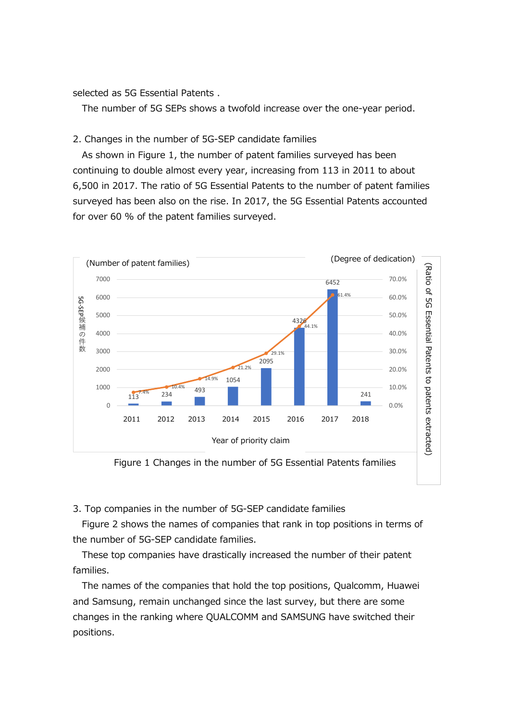selected as 5G Essential Patents .

The number of 5G SEPs shows a twofold increase over the one-year period.

#### 2. Changes in the number of 5G-SEP candidate families

As shown in Figure 1, the number of patent families surveyed has been continuing to double almost every year, increasing from 113 in 2011 to about 6,500 in 2017. The ratio of 5G Essential Patents to the number of patent families surveyed has been also on the rise. In 2017, the 5G Essential Patents accounted for over 60 % of the patent families surveyed.



Figure 1 Changes in the number of 5G Essential Patents families

3. Top companies in the number of 5G-SEP candidate families

Figure 2 shows the names of companies that rank in top positions in terms of the number of 5G-SEP candidate families.

These top companies have drastically increased the number of their patent families.

The names of the companies that hold the top positions, Qualcomm, Huawei and Samsung, remain unchanged since the last survey, but there are some changes in the ranking where QUALCOMM and SAMSUNG have switched their positions.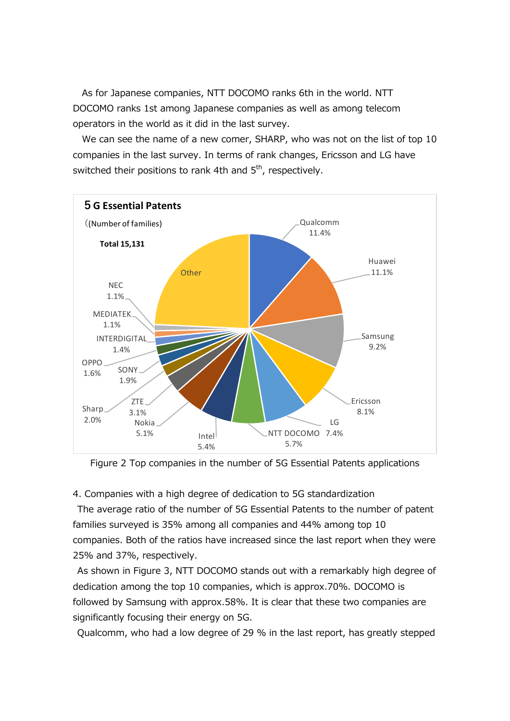As for Japanese companies, NTT DOCOMO ranks 6th in the world. NTT DOCOMO ranks 1st among Japanese companies as well as among telecom operators in the world as it did in the last survey.

We can see the name of a new comer, SHARP, who was not on the list of top 10 companies in the last survey. In terms of rank changes, Ericsson and LG have switched their positions to rank 4th and  $5<sup>th</sup>$ , respectively.



Figure 2 Top companies in the number of 5G Essential Patents applications

4. Companies with a high degree of dedication to 5G standardization

The average ratio of the number of 5G Essential Patents to the number of patent families surveyed is 35% among all companies and 44% among top 10 companies. Both of the ratios have increased since the last report when they were 25% and 37%, respectively.

As shown in Figure 3, NTT DOCOMO stands out with a remarkably high degree of dedication among the top 10 companies, which is approx.70%. DOCOMO is followed by Samsung with approx.58%. It is clear that these two companies are significantly focusing their energy on 5G.

Qualcomm, who had a low degree of 29 % in the last report, has greatly stepped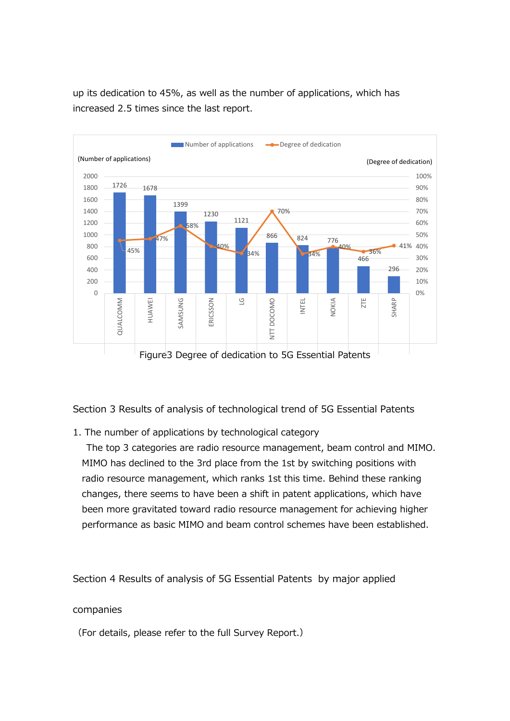



Section 3 Results of analysis of technological trend of 5G Essential Patents

1. The number of applications by technological category

The top 3 categories are radio resource management, beam control and MIMO. MIMO has declined to the 3rd place from the 1st by switching positions with radio resource management, which ranks 1st this time. Behind these ranking changes, there seems to have been a shift in patent applications, which have been more gravitated toward radio resource management for achieving higher performance as basic MIMO and beam control schemes have been established.

Section 4 Results of analysis of 5G Essential Patents by major applied

#### companies

(For details, please refer to the full Survey Report.)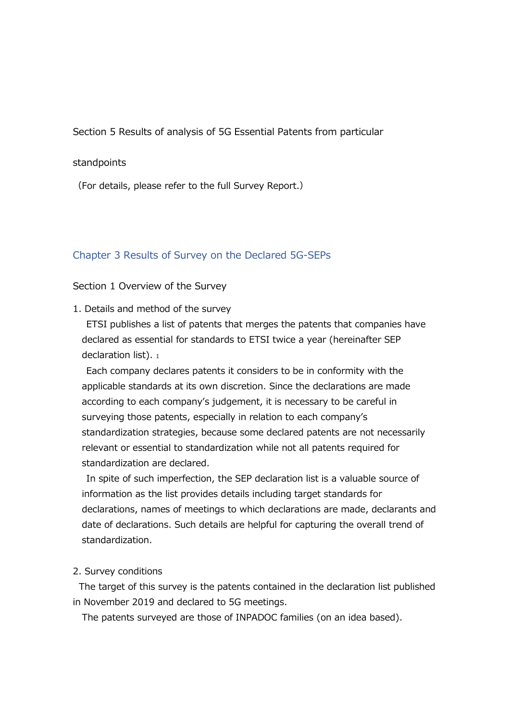Section 5 Results of analysis of 5G Essential Patents from particular

#### standpoints

(For details, please refer to the full Survey Report.)

#### Chapter 3 Results of Survey on the Declared 5G-SEPs

#### Section 1 Overview of the Survey

1. Details and method of the survey

ETSI publishes a list of patents that merges the patents that companies have declared as essential for standards to ETSI twice a year (hereinafter SEP declaration list).  $1$ 

Each company declares patents it considers to be in conformity with the applicable standards at its own discretion. Since the declarations are made according to each company's judgement, it is necessary to be careful in surveying those patents, especially in relation to each company's standardization strategies, because some declared patents are not necessarily relevant or essential to standardization while not all patents required for standardization are declared.

In spite of such imperfection, the SEP declaration list is a valuable source of information as the list provides details including target standards for declarations, names of meetings to which declarations are made, declarants and date of declarations. Such details are helpful for capturing the overall trend of standardization.

#### 2. Survey conditions

The target of this survey is the patents contained in the declaration list published in November 2019 and declared to 5G meetings.

The patents surveyed are those of INPADOC families (on an idea based).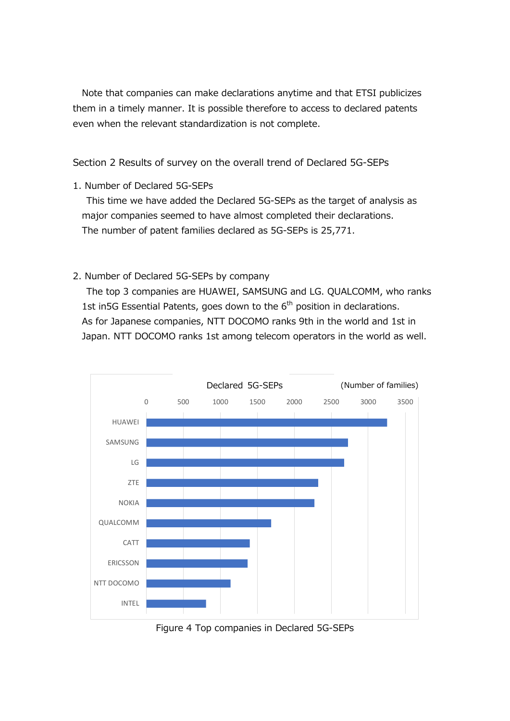Note that companies can make declarations anytime and that ETSI publicizes them in a timely manner. It is possible therefore to access to declared patents even when the relevant standardization is not complete.

Section 2 Results of survey on the overall trend of Declared 5G-SEPs

1. Number of Declared 5G-SEPs

This time we have added the Declared 5G-SEPs as the target of analysis as major companies seemed to have almost completed their declarations. The number of patent families declared as 5G-SEPs is 25,771.

2. Number of Declared 5G-SEPs by company

The top 3 companies are HUAWEI, SAMSUNG and LG. QUALCOMM, who ranks 1st in5G Essential Patents, goes down to the  $6<sup>th</sup>$  position in declarations. As for Japanese companies, NTT DOCOMO ranks 9th in the world and 1st in Japan. NTT DOCOMO ranks 1st among telecom operators in the world as well.



Figure 4 Top companies in Declared 5G-SEPs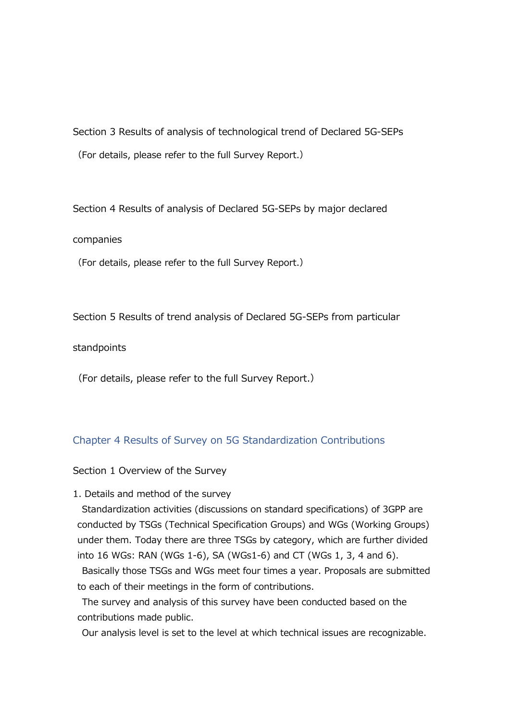Section 3 Results of analysis of technological trend of Declared 5G-SEPs (For details, please refer to the full Survey Report.)

Section 4 Results of analysis of Declared 5G-SEPs by major declared

#### companies

(For details, please refer to the full Survey Report.)

Section 5 Results of trend analysis of Declared 5G-SEPs from particular

standpoints

(For details, please refer to the full Survey Report.)

#### Chapter 4 Results of Survey on 5G Standardization Contributions

Section 1 Overview of the Survey

1. Details and method of the survey

Standardization activities (discussions on standard specifications) of 3GPP are conducted by TSGs (Technical Specification Groups) and WGs (Working Groups) under them. Today there are three TSGs by category, which are further divided into 16 WGs: RAN (WGs 1-6), SA (WGs1-6) and CT (WGs 1, 3, 4 and 6).

Basically those TSGs and WGs meet four times a year. Proposals are submitted to each of their meetings in the form of contributions.

The survey and analysis of this survey have been conducted based on the contributions made public.

Our analysis level is set to the level at which technical issues are recognizable.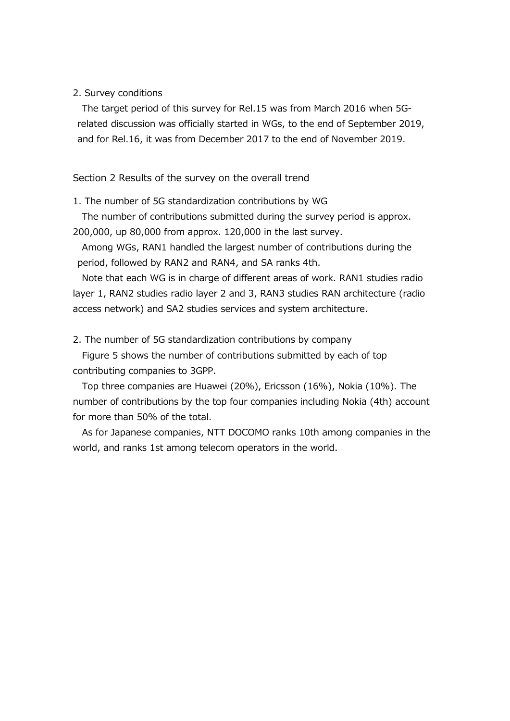#### 2. Survey conditions

The target period of this survey for Rel.15 was from March 2016 when 5Grelated discussion was officially started in WGs, to the end of September 2019, and for Rel.16, it was from December 2017 to the end of November 2019.

#### Section 2 Results of the survey on the overall trend

1. The number of 5G standardization contributions by WG

The number of contributions submitted during the survey period is approx.

200,000, up 80,000 from approx. 120,000 in the last survey.

Among WGs, RAN1 handled the largest number of contributions during the period, followed by RAN2 and RAN4, and SA ranks 4th.

Note that each WG is in charge of different areas of work. RAN1 studies radio layer 1, RAN2 studies radio layer 2 and 3, RAN3 studies RAN architecture (radio access network) and SA2 studies services and system architecture.

2. The number of 5G standardization contributions by company

Figure 5 shows the number of contributions submitted by each of top contributing companies to 3GPP.

Top three companies are Huawei (20%), Ericsson (16%), Nokia (10%). The number of contributions by the top four companies including Nokia (4th) account for more than 50% of the total.

As for Japanese companies, NTT DOCOMO ranks 10th among companies in the world, and ranks 1st among telecom operators in the world.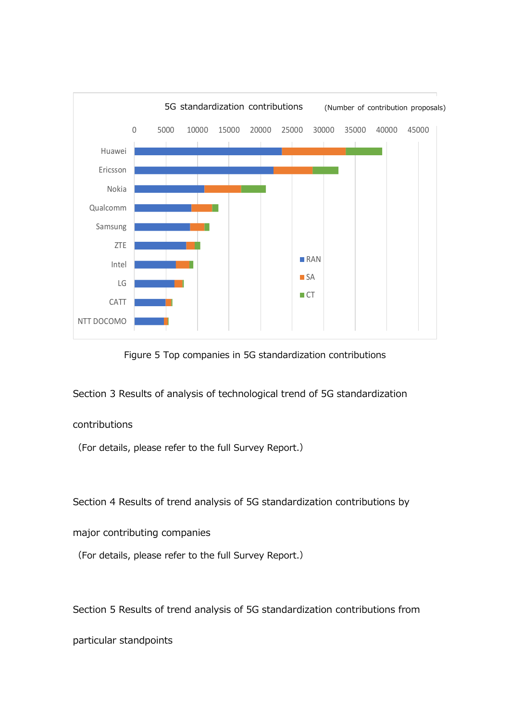

Figure 5 Top companies in 5G standardization contributions

Section 3 Results of analysis of technological trend of 5G standardization

#### contributions

(For details, please refer to the full Survey Report.)

Section 4 Results of trend analysis of 5G standardization contributions by

major contributing companies

(For details, please refer to the full Survey Report.)

Section 5 Results of trend analysis of 5G standardization contributions from

particular standpoints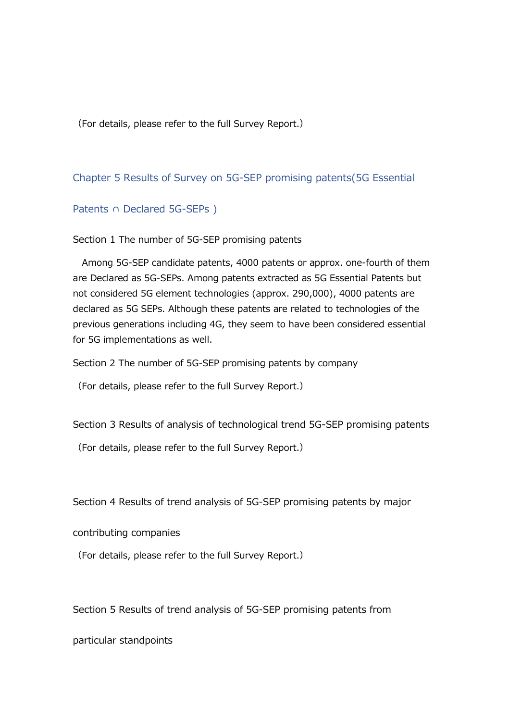(For details, please refer to the full Survey Report.)

### Chapter 5 Results of Survey on 5G-SEP promising patents(5G Essential

#### Patents ∩ Declared 5G-SEPs )

Section 1 The number of 5G-SEP promising patents

Among 5G-SEP candidate patents, 4000 patents or approx. one-fourth of them are Declared as 5G-SEPs. Among patents extracted as 5G Essential Patents but not considered 5G element technologies (approx. 290,000), 4000 patents are declared as 5G SEPs. Although these patents are related to technologies of the previous generations including 4G, they seem to have been considered essential for 5G implementations as well.

Section 2 The number of 5G-SEP promising patents by company

(For details, please refer to the full Survey Report.)

Section 3 Results of analysis of technological trend 5G-SEP promising patents

(For details, please refer to the full Survey Report.)

Section 4 Results of trend analysis of 5G-SEP promising patents by major

contributing companies

(For details, please refer to the full Survey Report.)

Section 5 Results of trend analysis of 5G-SEP promising patents from

particular standpoints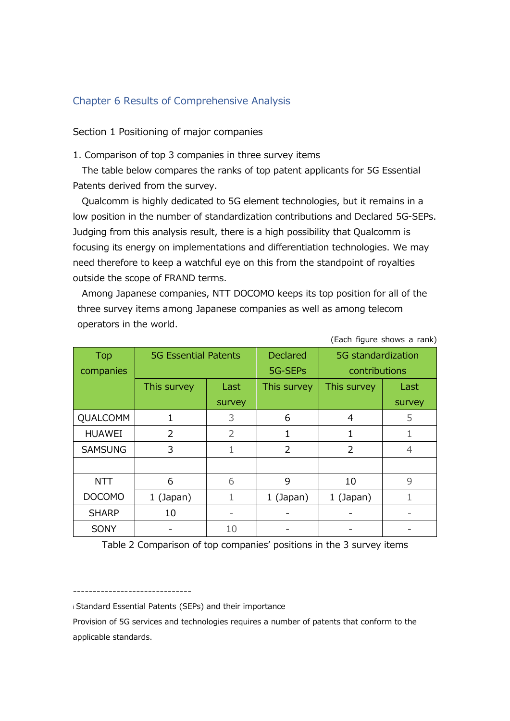### Chapter 6 Results of Comprehensive Analysis

Section 1 Positioning of major companies

1. Comparison of top 3 companies in three survey items

The table below compares the ranks of top patent applicants for 5G Essential Patents derived from the survey.

Qualcomm is highly dedicated to 5G element technologies, but it remains in a low position in the number of standardization contributions and Declared 5G-SEPs. Judging from this analysis result, there is a high possibility that Qualcomm is focusing its energy on implementations and differentiation technologies. We may need therefore to keep a watchful eye on this from the standpoint of royalties outside the scope of FRAND terms.

Among Japanese companies, NTT DOCOMO keeps its top position for all of the three survey items among Japanese companies as well as among telecom operators in the world.

| <b>Top</b><br>companies | <b>5G Essential Patents</b> |                          | <b>Declared</b><br>5G-SEPs | 5G standardization<br>contributions |        |
|-------------------------|-----------------------------|--------------------------|----------------------------|-------------------------------------|--------|
|                         | This survey                 | Last                     | This survey                | This survey                         | Last   |
|                         |                             | survey                   |                            |                                     | survey |
| QUALCOMM                | 1                           | 3                        | 6                          | 4                                   | 5      |
| <b>HUAWEI</b>           | 2                           | $\overline{2}$           | 1                          |                                     |        |
| <b>SAMSUNG</b>          | 3                           | 1                        | 2                          | $\mathcal{P}$                       | 4      |
|                         |                             |                          |                            |                                     |        |
| <b>NTT</b>              | 6                           | 6                        | 9                          | 10                                  | 9      |
| <b>DOCOMO</b>           | $1$ (Japan)                 | 1                        | $1$ (Japan)                | $1$ (Japan)                         |        |
| <b>SHARP</b>            | 10                          | $\overline{\phantom{m}}$ |                            |                                     |        |
| <b>SONY</b>             |                             | 10                       |                            |                                     |        |

(Each figure shows a rank)

Table 2 Comparison of top companies' positions in the 3 survey items

----------------------------- i Standard Essential Patents (SEPs) and their importance

Provision of 5G services and technologies requires a number of patents that conform to the applicable standards.